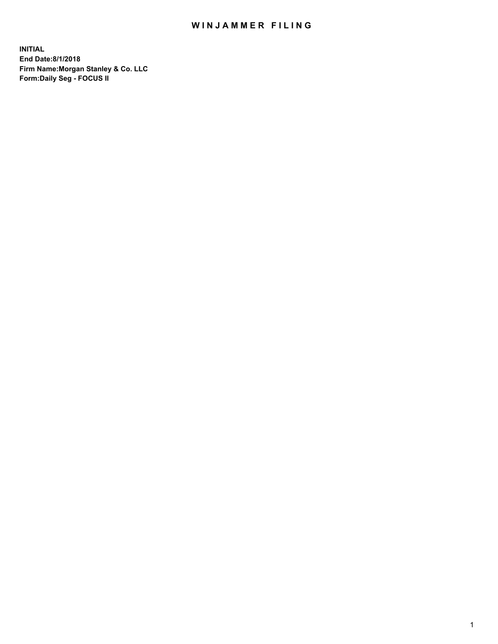## WIN JAMMER FILING

**INITIAL End Date:8/1/2018 Firm Name:Morgan Stanley & Co. LLC Form:Daily Seg - FOCUS II**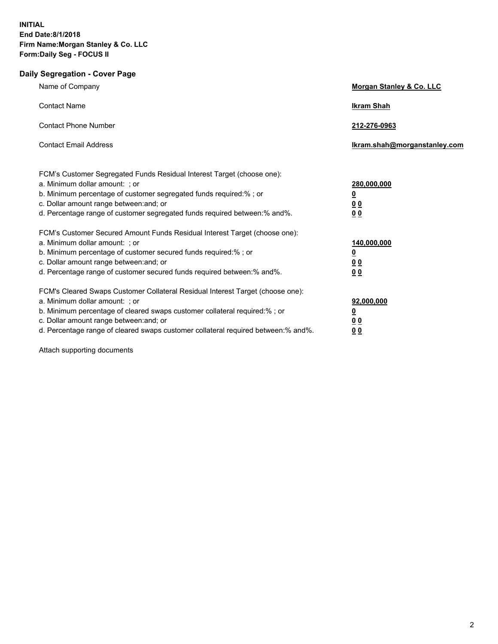## **Daily Segregation - Cover Page**

| Name of Company                                                                                                                                                                                                                                                                                                                | <b>Morgan Stanley &amp; Co. LLC</b>                                        |
|--------------------------------------------------------------------------------------------------------------------------------------------------------------------------------------------------------------------------------------------------------------------------------------------------------------------------------|----------------------------------------------------------------------------|
| <b>Contact Name</b>                                                                                                                                                                                                                                                                                                            | <b>Ikram Shah</b>                                                          |
| <b>Contact Phone Number</b>                                                                                                                                                                                                                                                                                                    | 212-276-0963                                                               |
| <b>Contact Email Address</b>                                                                                                                                                                                                                                                                                                   | lkram.shah@morganstanley.com                                               |
| FCM's Customer Segregated Funds Residual Interest Target (choose one):<br>a. Minimum dollar amount: ; or<br>b. Minimum percentage of customer segregated funds required:% ; or<br>c. Dollar amount range between: and; or<br>d. Percentage range of customer segregated funds required between: % and %.                       | 280,000,000<br>$\overline{\mathbf{0}}$<br>0 <sub>0</sub><br>0 <sub>0</sub> |
| FCM's Customer Secured Amount Funds Residual Interest Target (choose one):<br>a. Minimum dollar amount: ; or<br>b. Minimum percentage of customer secured funds required:%; or<br>c. Dollar amount range between: and; or<br>d. Percentage range of customer secured funds required between:% and%.                            | 140,000,000<br>$\overline{\mathbf{0}}$<br>0 <sub>0</sub><br>0 <sub>0</sub> |
| FCM's Cleared Swaps Customer Collateral Residual Interest Target (choose one):<br>a. Minimum dollar amount: ; or<br>b. Minimum percentage of cleared swaps customer collateral required:% ; or<br>c. Dollar amount range between: and; or<br>d. Percentage range of cleared swaps customer collateral required between:% and%. | 92,000,000<br><u>0</u><br>0 <sub>0</sub><br>00                             |

Attach supporting documents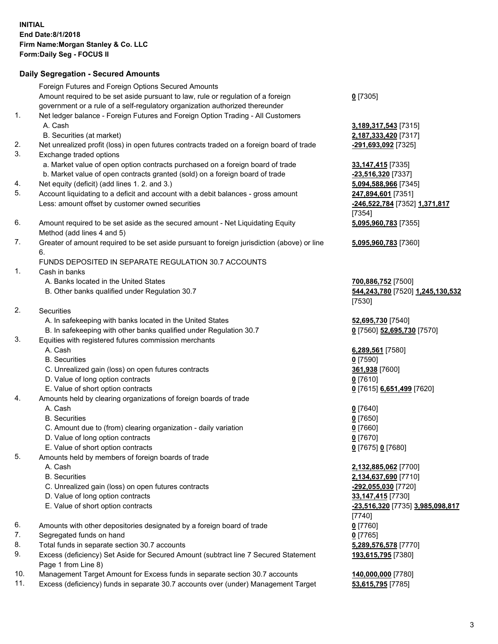## **Daily Segregation - Secured Amounts**

|     | Foreign Futures and Foreign Options Secured Amounts                                         |                                         |
|-----|---------------------------------------------------------------------------------------------|-----------------------------------------|
|     | Amount required to be set aside pursuant to law, rule or regulation of a foreign            | $0$ [7305]                              |
|     | government or a rule of a self-regulatory organization authorized thereunder                |                                         |
| 1.  | Net ledger balance - Foreign Futures and Foreign Option Trading - All Customers             |                                         |
|     | A. Cash                                                                                     | 3,189,317,543 [7315]                    |
|     | B. Securities (at market)                                                                   | 2,187,333,420 [7317]                    |
| 2.  | Net unrealized profit (loss) in open futures contracts traded on a foreign board of trade   | -291,693,092 [7325]                     |
| 3.  | Exchange traded options                                                                     |                                         |
|     | a. Market value of open option contracts purchased on a foreign board of trade              | 33, 147, 415 [7335]                     |
|     | b. Market value of open contracts granted (sold) on a foreign board of trade                | -23,516,320 [7337]                      |
| 4.  | Net equity (deficit) (add lines 1. 2. and 3.)                                               | 5,094,588,966 [7345]                    |
| 5.  | Account liquidating to a deficit and account with a debit balances - gross amount           | 247,894,601 [7351]                      |
|     | Less: amount offset by customer owned securities                                            | -246,522,784 [7352] 1,371,817           |
|     |                                                                                             | [7354]                                  |
| 6.  | Amount required to be set aside as the secured amount - Net Liquidating Equity              | 5,095,960,783 [7355]                    |
|     | Method (add lines 4 and 5)                                                                  |                                         |
| 7.  | Greater of amount required to be set aside pursuant to foreign jurisdiction (above) or line | 5,095,960,783 [7360]                    |
|     | 6.                                                                                          |                                         |
|     | FUNDS DEPOSITED IN SEPARATE REGULATION 30.7 ACCOUNTS                                        |                                         |
| 1.  | Cash in banks                                                                               |                                         |
|     | A. Banks located in the United States                                                       | 700,886,752 [7500]                      |
|     | B. Other banks qualified under Regulation 30.7                                              | 544,243,780 [7520] 1,245,130,532        |
|     |                                                                                             | [7530]                                  |
| 2.  | Securities                                                                                  |                                         |
|     | A. In safekeeping with banks located in the United States                                   | 52,695,730 [7540]                       |
|     | B. In safekeeping with other banks qualified under Regulation 30.7                          | 0 [7560] 52,695,730 [7570]              |
| 3.  | Equities with registered futures commission merchants                                       |                                         |
|     | A. Cash                                                                                     | 6,289,561 [7580]                        |
|     | <b>B.</b> Securities                                                                        | $0$ [7590]                              |
|     | C. Unrealized gain (loss) on open futures contracts                                         | 361,938 [7600]                          |
|     | D. Value of long option contracts                                                           | $0$ [7610]                              |
|     | E. Value of short option contracts                                                          | 0 [7615] 6,651,499 [7620]               |
| 4.  | Amounts held by clearing organizations of foreign boards of trade                           |                                         |
|     | A. Cash                                                                                     | $0$ [7640]                              |
|     | <b>B.</b> Securities                                                                        | $0$ [7650]                              |
|     | C. Amount due to (from) clearing organization - daily variation                             | $0$ [7660]                              |
|     | D. Value of long option contracts                                                           | $0$ [7670]                              |
|     | E. Value of short option contracts                                                          | 0 [7675] 0 [7680]                       |
| 5.  | Amounts held by members of foreign boards of trade                                          |                                         |
|     | A. Cash                                                                                     | 2,132,885,062 [7700]                    |
|     | <b>B.</b> Securities                                                                        | 2,134,637,690 [7710]                    |
|     | C. Unrealized gain (loss) on open futures contracts                                         | -292,055,030 [7720]                     |
|     | D. Value of long option contracts                                                           | 33,147,415 [7730]                       |
|     | E. Value of short option contracts                                                          | <u>-23,516,320</u> [7735] 3,985,098,817 |
|     |                                                                                             | $[7740]$                                |
| 6.  | Amounts with other depositories designated by a foreign board of trade                      | $0$ [7760]                              |
| 7.  | Segregated funds on hand                                                                    | $0$ [7765]                              |
| 8.  | Total funds in separate section 30.7 accounts                                               | 5,289,576,578 [7770]                    |
| 9.  | Excess (deficiency) Set Aside for Secured Amount (subtract line 7 Secured Statement         | 193,615,795 [7380]                      |
|     | Page 1 from Line 8)                                                                         |                                         |
| 10. | Management Target Amount for Excess funds in separate section 30.7 accounts                 | 140,000,000 [7780]                      |
| 11. | Excess (deficiency) funds in separate 30.7 accounts over (under) Management Target          | 53,615,795 [7785]                       |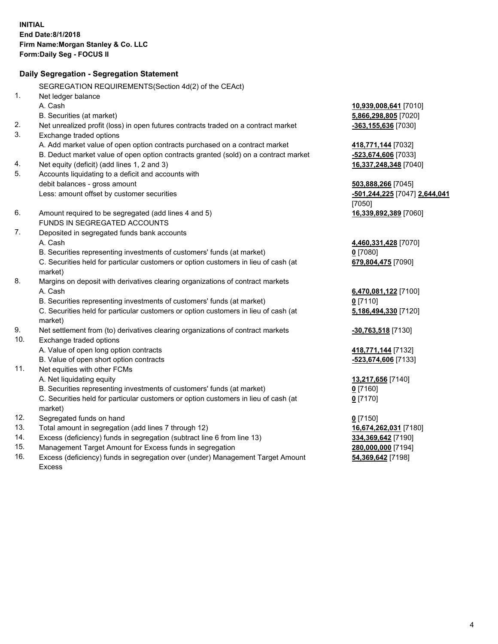|     | Daily Segregation - Segregation Statement                                           |                               |
|-----|-------------------------------------------------------------------------------------|-------------------------------|
|     | SEGREGATION REQUIREMENTS(Section 4d(2) of the CEAct)                                |                               |
| 1.  | Net ledger balance                                                                  |                               |
|     | A. Cash                                                                             | 10,939,008,641 [7010]         |
|     | B. Securities (at market)                                                           | 5,866,298,805 [7020]          |
| 2.  | Net unrealized profit (loss) in open futures contracts traded on a contract market  | -363,155,636 [7030]           |
| 3.  | Exchange traded options                                                             |                               |
|     | A. Add market value of open option contracts purchased on a contract market         | 418,771,144 [7032]            |
|     | B. Deduct market value of open option contracts granted (sold) on a contract market | -523,674,606 [7033]           |
| 4.  | Net equity (deficit) (add lines 1, 2 and 3)                                         | 16,337,248,348 [7040]         |
| 5.  | Accounts liquidating to a deficit and accounts with                                 |                               |
|     | debit balances - gross amount                                                       | 503,888,266 [7045]            |
|     | Less: amount offset by customer securities                                          | -501,244,225 [7047] 2,644,041 |
|     |                                                                                     | [7050]                        |
| 6.  | Amount required to be segregated (add lines 4 and 5)                                | 16,339,892,389 [7060]         |
|     | FUNDS IN SEGREGATED ACCOUNTS                                                        |                               |
| 7.  | Deposited in segregated funds bank accounts                                         |                               |
|     | A. Cash                                                                             | 4,460,331,428 [7070]          |
|     | B. Securities representing investments of customers' funds (at market)              | $0$ [7080]                    |
|     | C. Securities held for particular customers or option customers in lieu of cash (at | 679,804,475 [7090]            |
|     | market)                                                                             |                               |
| 8.  | Margins on deposit with derivatives clearing organizations of contract markets      |                               |
|     | A. Cash                                                                             | 6,470,081,122 [7100]          |
|     | B. Securities representing investments of customers' funds (at market)              | $0$ [7110]                    |
|     | C. Securities held for particular customers or option customers in lieu of cash (at | 5,186,494,330 [7120]          |
|     | market)                                                                             |                               |
| 9.  | Net settlement from (to) derivatives clearing organizations of contract markets     | $-30,763,518$ [7130]          |
| 10. | Exchange traded options                                                             |                               |
|     | A. Value of open long option contracts                                              | 418,771,144 [7132]            |
|     | B. Value of open short option contracts                                             | -523,674,606 [7133]           |
| 11. | Net equities with other FCMs                                                        |                               |
|     | A. Net liquidating equity                                                           | 13,217,656 [7140]             |
|     | B. Securities representing investments of customers' funds (at market)              | $0$ [7160]                    |
|     | C. Securities held for particular customers or option customers in lieu of cash (at | $0$ [7170]                    |
|     | market)                                                                             |                               |
| 12. | Segregated funds on hand                                                            | $0$ [7150]                    |
| 13. | Total amount in segregation (add lines 7 through 12)                                | 16,674,262,031 [7180]         |
| 14. | Excess (deficiency) funds in segregation (subtract line 6 from line 13)             | 334,369,642 [7190]            |
| 15. | Management Target Amount for Excess funds in segregation                            | 280,000,000 [7194]            |
| 16. | Excess (deficiency) funds in segregation over (under) Management Target Amount      | 54,369,642 [7198]             |

16. Excess (deficiency) funds in segregation over (under) Management Target Amount Excess